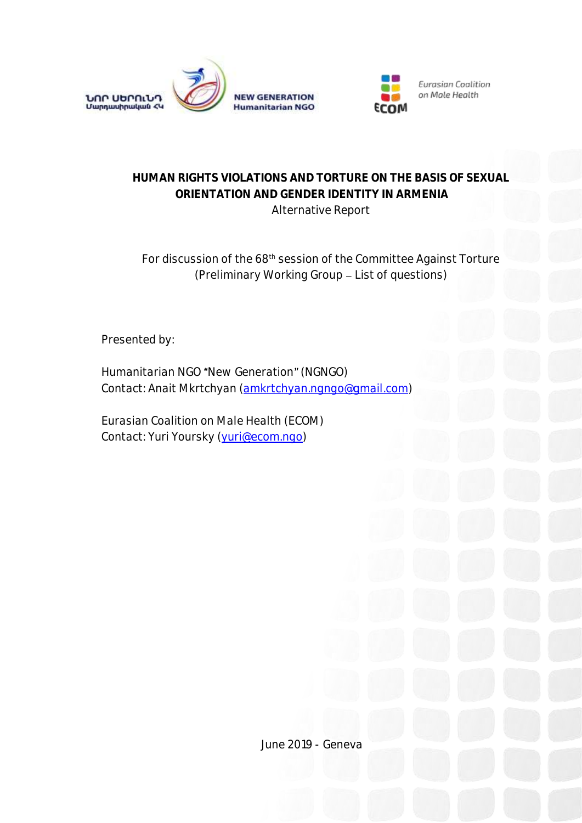



# **HUMAN RIGHTS VIOLATIONS AND TORTURE ON THE BASIS OF SEXUAL ORIENTATION AND GENDER IDENTITY IN ARMENIA** Alternative Report

# For discussion of the 68th session of the Committee Against Torture (Preliminary Working Group List of questions)

Presented by:

*Humanitarian NGO "New Generation" (NGNGO) Contact: Anait Mkrtchyan [\(amkrtchyan.ngngo@gmail.com\)](mailto:amkrtchyan.ngngo@gmail.com)* 

*Eurasian Coalition on Male Health (ECOM) Contact: Yuri Yoursky [\(yuri@ecom.ngo\)](mailto:yuri@ecom.ngo)* 

June 2019 - Geneva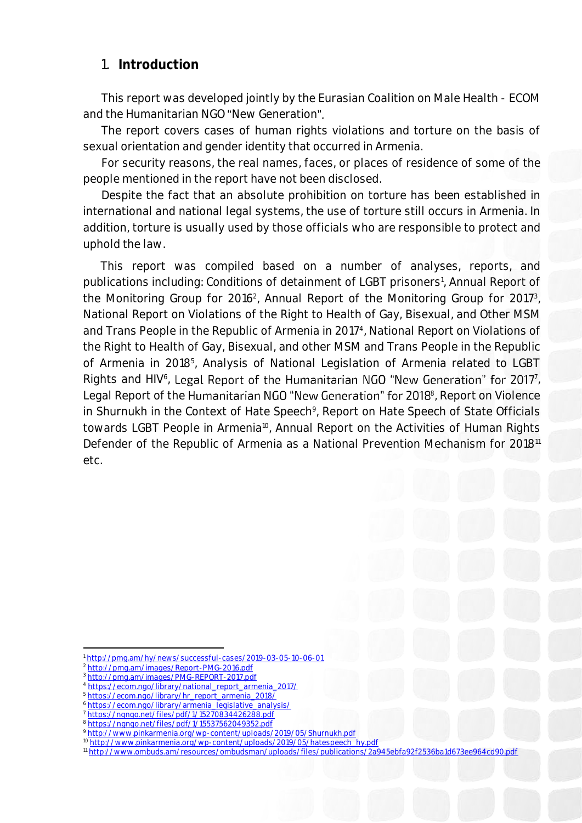## 1. **Introduction**

This report was developed jointly by the Eurasian Coalition on Male Health - ECOM and the Humanitarian NGO "New Generation".

The report covers cases of human rights violations and torture on the basis of sexual orientation and gender identity that occurred in Armenia.

For security reasons, the real names, faces, or places of residence of some of the people mentioned in the report have not been disclosed.

Despite the fact that an absolute prohibition on torture has been established in international and national legal systems, the use of torture still occurs in Armenia. In addition, torture is usually used by those officials who are responsible to protect and uphold the law.

This report was compiled based on a number of analyses, reports, and publications including: Conditions of detainment of LGBT prisoners<sup>1</sup>, Annual Report of the Monitoring Group for 2016<sup>2</sup>, Annual Report of the Monitoring Group for 2017<sup>3</sup>, National Report on Violations of the Right to Health of Gay, Bisexual, and Other MSM and Trans People in the Republic of Armenia in 2017<sup>4</sup>, National Report on Violations of the Right to Health of Gay, Bisexual, and other MSM and Trans People in the Republic of Armenia in 2018<sup>5</sup>, Analysis of National Legislation of Armenia related to LGBT Rights and HIV<sup>6</sup>, Legal Report of the Humanitarian NGO "New Generation" for 2017<sup>7</sup>, Legal Report of the Humanitarian NGO "New Generation" for 2018<sup>8</sup>, Report on Violence in Shurnukh in the Context of Hate Speech<sup>9</sup>, Report on Hate Speech of State Officials towards LGBT People in Armenia<sup>10</sup>, Annual Report on the Activities of Human Rights Defender of the Republic of Armenia as a National Prevention Mechanism for 2018<sup>11</sup> etc.

1

<sup>1</sup> <http://pmg.am/hy/news/successful-cases/2019-03-05-10-06-01>

<sup>2</sup> <http://pmg.am/images/Report-PMG-2016.pdf>

<sup>3</sup> <http://pmg.am/images/PMG-REPORT-2017.pdf>

[https://ecom.ngo/library/national\\_report\\_armenia\\_2017/](https://ecom.ngo/library/national_report_armenia_2017/)

[https://ecom.ngo/library/hr\\_report\\_armenia\\_2018/](https://ecom.ngo/library/hr_report_armenia_2018/)

<sup>6</sup> [https://ecom.ngo/library/armenia\\_legislative\\_analysis/](https://ecom.ngo/library/armenia_legislative_analysis/)

https://ngngo.net/files/pdf/1/15270834426288.ndf

<sup>8</sup> <https://ngngo.net/files/pdf/1/15537562049352.pdf>

<sup>9</sup> <http://www.pinkarmenia.org/wp-content/uploads/2019/05/Shurnukh.pdf>

<sup>10</sup> [http://www.pinkarmenia.org/wp-content/uploads/2019/05/hatespeech\\_hy.pdf](http://www.pinkarmenia.org/wp-content/uploads/2019/05/hatespeech_hy.pdf)

<sup>11</sup> <http://www.ombuds.am/resources/ombudsman/uploads/files/publications/2a945ebfa92f2536ba1d673ee964cd90.pdf>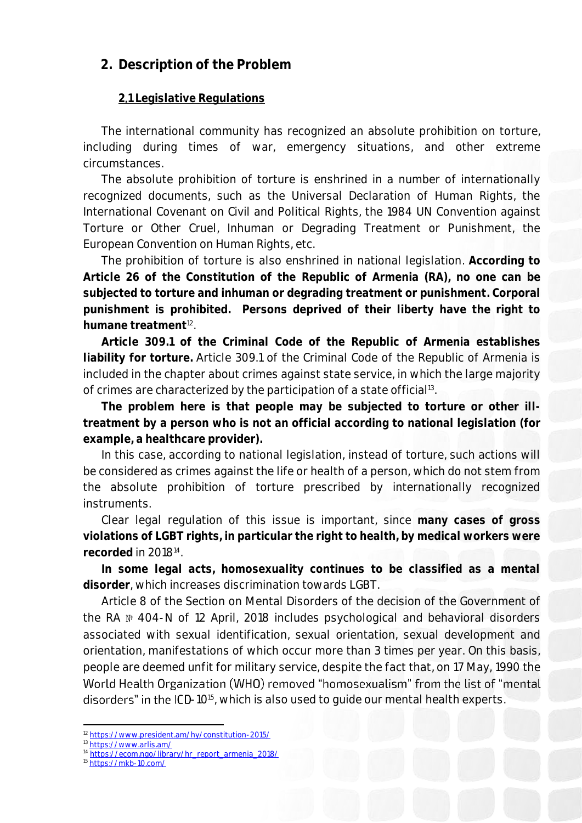# **2. Description of the Problem**

### **2**․**1 Legislative Regulations**

The international community has recognized an absolute prohibition on torture, including during times of war, emergency situations, and other extreme circumstances.

The absolute prohibition of torture is enshrined in a number of internationally recognized documents, such as the Universal Declaration of Human Rights, the International Covenant on Civil and Political Rights, the 1984 UN Convention against Torture or Other Cruel, Inhuman or Degrading Treatment or Punishment, the European Convention on Human Rights, etc.

The prohibition of torture is also enshrined in national legislation. **According to Article 26 of the Constitution of the Republic of Armenia (RA), no one can be subjected to torture and inhuman or degrading treatment or punishment. Corporal punishment is prohibited. Persons deprived of their liberty have the right to humane treatment**<sup>12</sup> .

**Article 309.1 of the Criminal Code of the Republic of Armenia establishes liability for torture.** Article 309.1 of the Criminal Code of the Republic of Armenia is included in the chapter about crimes against state service, in which the large majority of crimes are characterized by the participation of a state official<sup>13</sup>.

**The problem here is that people may be subjected to torture or other illtreatment by a person who is not an official according to national legislation (for example, a healthcare provider).**

In this case, according to national legislation, instead of torture, such actions will be considered as crimes against the life or health of a person, which do not stem from the absolute prohibition of torture prescribed by internationally recognized instruments.

Clear legal regulation of this issue is important, since **many cases of gross violations of LGBT rights, in particular the right to health, by medical workers were recorded** in 2018<sup>14</sup> .

**In some legal acts, homosexuality continues to be classified as a mental disorder**, which increases discrimination towards LGBT.

Article 8 of the Section on Mental Disorders of the decision of the Government of the RA № 404-N of 12 April, 2018 includes psychological and behavioral disorders associated with sexual identification, sexual orientation, sexual development and orientation, manifestations of which occur more than 3 times per year. On this basis, people are deemed unfit for military service, despite the fact that, on 17 May, 1990 the World Health Organization (WHO) removed "homosexualism" from the list of "mental -10<sup>15</sup> , which is also used to guide our mental health experts.

**.** 

<sup>12</sup> <https://www.president.am/hy/constitution-2015/>

<sup>13</sup> <https://www.arlis.am/>

<sup>14</sup> [https://ecom.ngo/library/hr\\_report\\_armenia\\_2018/](https://ecom.ngo/library/hr_report_armenia_2018/)

<sup>15</sup> <https://mkb-10.com/>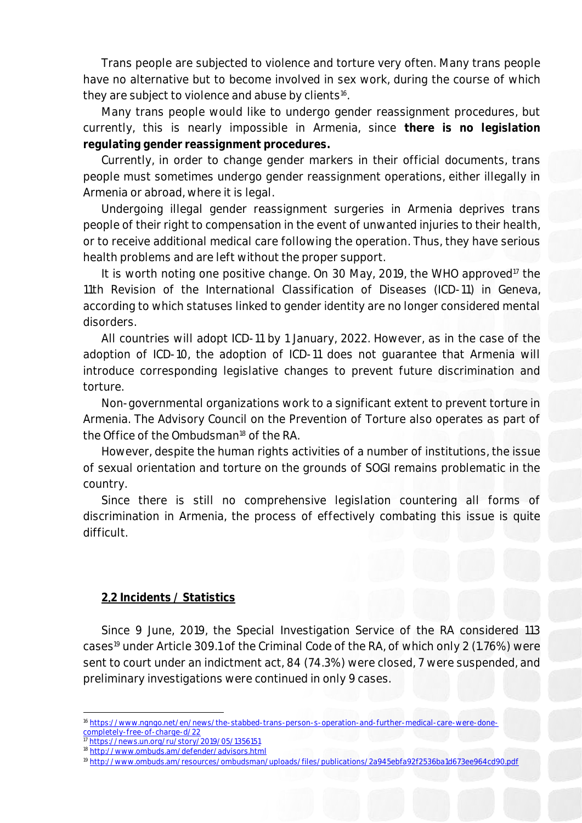Trans people are subjected to violence and torture very often. Many trans people have no alternative but to become involved in sex work, during the course of which they are subject to violence and abuse by clients<sup>16</sup>.

Many trans people would like to undergo gender reassignment procedures, but currently, this is nearly impossible in Armenia, since **there is no legislation regulating gender reassignment procedures.**

Currently, in order to change gender markers in their official documents, trans people must sometimes undergo gender reassignment operations, either illegally in Armenia or abroad, where it is legal.

Undergoing illegal gender reassignment surgeries in Armenia deprives trans people of their right to compensation in the event of unwanted injuries to their health, or to receive additional medical care following the operation. Thus, they have serious health problems and are left without the proper support.

It is worth noting one positive change. On 30 May, 2019, the WHO approved<sup>17</sup> the 11th Revision of the International Classification of Diseases (ICD-11) in Geneva, according to which statuses linked to gender identity are no longer considered mental disorders.

All countries will adopt ICD-11 by 1 January, 2022. However, as in the case of the adoption of ICD-10, the adoption of ICD-11 does not guarantee that Armenia will introduce corresponding legislative changes to prevent future discrimination and torture.

Non-governmental organizations work to a significant extent to prevent torture in Armenia. The Advisory Council on the Prevention of Torture also operates as part of the Office of the Ombudsman<sup>18</sup> of the RA.

However, despite the human rights activities of a number of institutions, the issue of sexual orientation and torture on the grounds of SOGI remains problematic in the country.

Since there is still no comprehensive legislation countering all forms of discrimination in Armenia, the process of effectively combating this issue is quite difficult.

#### **2**․**2 Incidents / Statistics**

Since 9 June, 2019, the Special Investigation Service of the RA considered 113 cases<sup>19</sup> under Article 309.1 of the Criminal Code of the RA, of which only 2 (1.76%) were sent to court under an indictment act, 84 (74.3%) were closed, 7 were suspended, and preliminary investigations were continued in only 9 cases.

**.** <sup>6</sup> https://www.ngngo.net/en/news/the-stabbed-trans-person-s-operation-and-further-medical-care-were-done [completely-free-of-charge-d/22](https://www.ngngo.net/en/news/the-stabbed-trans-person-s-operation-and-further-medical-care-were-done-completely-free-of-charge-d/22)

<sup>17</sup> <https://news.un.org/ru/story/2019/05/1356151>

<sup>18</sup> <http://www.ombuds.am/defender/advisors.html>

<sup>19</sup> <http://www.ombuds.am/resources/ombudsman/uploads/files/publications/2a945ebfa92f2536ba1d673ee964cd90.pdf>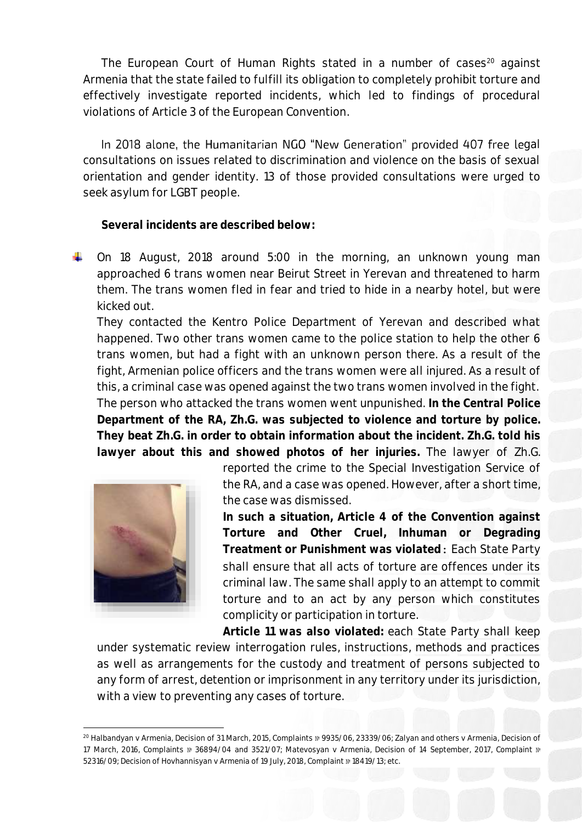The European Court of Human Rights stated in a number of cases $20$  against Armenia that the state failed to fulfill its obligation to completely prohibit torture and effectively investigate reported incidents, which led to findings of procedural violations of Article 3 of the European Convention.

In 2018 alone, the Humanitarian NGO "New Generation" provided 407 free legal consultations on issues related to discrimination and violence on the basis of sexual orientation and gender identity. 13 of those provided consultations were urged to seek asylum for LGBT people.

**Several incidents are described below:**

On 18 August, 2018 around 5:00 in the morning, an unknown young man approached 6 trans women near Beirut Street in Yerevan and threatened to harm them. The trans women fled in fear and tried to hide in a nearby hotel, but were kicked out.

They contacted the Kentro Police Department of Yerevan and described what happened. Two other trans women came to the police station to help the other 6 trans women, but had a fight with an unknown person there. As a result of the fight, Armenian police officers and the trans women were all injured. As a result of this, a criminal case was opened against the two trans women involved in the fight. The person who attacked the trans women went unpunished. **In the Central Police Department of the RA, Zh.G. was subjected to violence and torture by police. They beat Zh.G. in order to obtain information about the incident. Zh.G. told his lawyer about this and showed photos of her injuries.** The lawyer of Zh.G.



reported the crime to the Special Investigation Service of the RA, and a case was opened. However, after a short time, the case was dismissed.

**In such a situation, Article 4 of the Convention against Torture and Other Cruel, Inhuman or Degrading Treatment or Punishment was violated։** Each State Party shall ensure that all acts of torture are offences under its criminal law. The same shall apply to an attempt to commit torture and to an act by any person which constitutes complicity or participation in torture.

**Article 11 was also violated:** each State Party shall keep under systematic review interrogation rules, instructions, methods and practices as well as arrangements for the custody and treatment of persons subjected to any form of arrest, detention or imprisonment in any territory under its jurisdiction, with a view to preventing any cases of torture.

**<sup>.</sup>** <sup>20</sup> Halbandyan v Armenia, Decision of 31 March, 2015, Complaints № 9935/06, 23339/06; Zalyan and others v Armenia, Decision of 17 March, 2016, Complaints № 36894/04 and 3521/07; Matevosyan v Armenia, Decision of 14 September, 2017, Complaint № 52316/09; Decision of Hovhannisyan v Armenia of 19 July, 2018, Complaint № 18419/13; etc.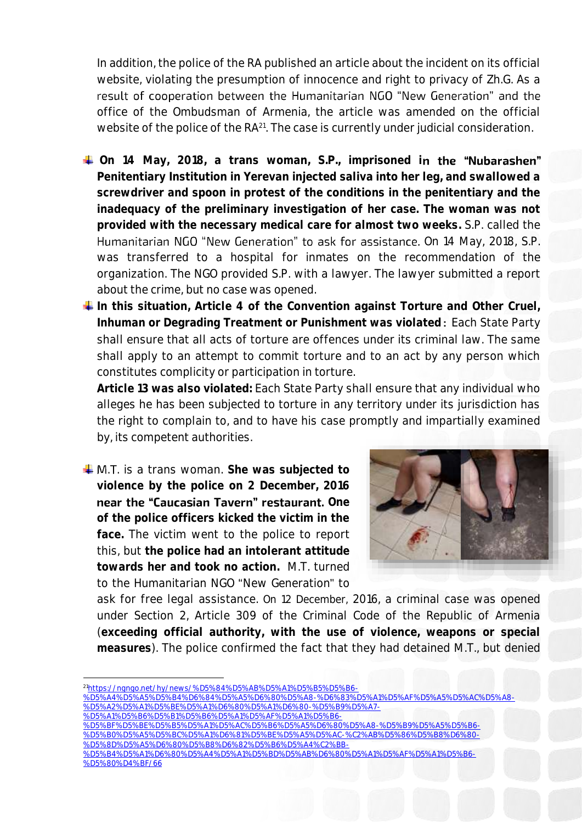In addition, the police of the RA published an article about the incident on its official website, violating the presumption of innocence and right to privacy of Zh.G. As a result of cooperation between the Humanitarian NGO "New Generation" and the office of the Ombudsman of Armenia, the article was amended on the official website of the police of the RA<sup>21</sup>. The case is currently under judicial consideration.

- <sup>+</sup> On 14 May, 2018, a trans woman, S.P., imprisoned in the "Nubarashen" **Penitentiary Institution in Yerevan injected saliva into her leg, and swallowed a screwdriver and spoon in protest of the conditions in the penitentiary and the inadequacy of the preliminary investigation of her case. The woman was not provided with the necessary medical care for almost two weeks.** S.P. called the Humanitarian NGO "New Generation" to ask for assistance. On 14 May, 2018, S.P. was transferred to a hospital for inmates on the recommendation of the organization. The NGO provided S.P. with a lawyer. The lawyer submitted a report about the crime, but no case was opened.
- **In this situation, Article 4 of the Convention against Torture and Other Cruel, Inhuman or Degrading Treatment or Punishment was violated։** Each State Party shall ensure that all acts of torture are offences under its criminal law. The same shall apply to an attempt to commit torture and to an act by any person which constitutes complicity or participation in torture.

**Article 13 was also violated:** Each State Party shall ensure that any individual who alleges he has been subjected to torture in any territory under its jurisdiction has the right to complain to, and to have his case promptly and impartially examined by, its competent authorities.

↓ M.T. is a trans woman. She was subjected to **violence by the police on 2 December, 2016 near the "Caucasian Tavern" restaurant.** One **of the police officers kicked the victim in the face.** The victim went to the police to report this, but **the police had an intolerant attitude towards her and took no action.** M.T. turned to the Humanitarian NGO "New Generation" to



ask for free legal assistance. On 12 December, 2016, a criminal case was opened under Section 2, Article 309 of the Criminal Code of the Republic of Armenia (**exceeding official authority, with the use of violence, weapons or special measures**). The police confirmed the fact that they had detained M.T., but denied

**.** 

- [%D5%A1%D5%B6%D5%B1%D5%B6%D5%A1%D5%AF%D5%A1%D5%B6-](https://ngngo.net/hy/news/%D5%84%D5%AB%D5%A1%D5%B5%D5%B6-%D5%A4%D5%A5%D5%B4%D6%84%D5%A5%D6%80%D5%A8-%D6%83%D5%A1%D5%AF%D5%A5%D5%AC%D5%A8-%D5%A2%D5%A1%D5%BE%D5%A1%D6%80%D5%A1%D6%80-%D5%B9%D5%A7-%D5%A1%D5%B6%D5%B1%D5%B6%D5%A1%D5%AF%D5%A1%D5%B6-%D5%BF%D5%BE%D5%B5%D5%A1%D5%AC%D5%B6%D5%A5%D6%80%D5%A8-%D5%B9%D5%A5%D5%B6-%D5%B0%D5%A5%D5%BC%D5%A1%D6%81%D5%BE%D5%A5%D5%AC-%C2%AB%D5%86%D5%B8%D6%80-%D5%8D%D5%A5%D6%80%D5%B8%D6%82%D5%B6%D5%A4%C2%BB-%D5%B4%D5%A1%D6%80%D5%A4%D5%A1%D5%BD%D5%AB%D6%80%D5%A1%D5%AF%D5%A1%D5%B6-%D5%80%D4%BF/66)
- [%D5%BF%D5%BE%D5%B5%D5%A1%D5%AC%D5%B6%D5%A5%D6%80%D5%A8-%D5%B9%D5%A5%D5%B6-](https://ngngo.net/hy/news/%D5%84%D5%AB%D5%A1%D5%B5%D5%B6-%D5%A4%D5%A5%D5%B4%D6%84%D5%A5%D6%80%D5%A8-%D6%83%D5%A1%D5%AF%D5%A5%D5%AC%D5%A8-%D5%A2%D5%A1%D5%BE%D5%A1%D6%80%D5%A1%D6%80-%D5%B9%D5%A7-%D5%A1%D5%B6%D5%B1%D5%B6%D5%A1%D5%AF%D5%A1%D5%B6-%D5%BF%D5%BE%D5%B5%D5%A1%D5%AC%D5%B6%D5%A5%D6%80%D5%A8-%D5%B9%D5%A5%D5%B6-%D5%B0%D5%A5%D5%BC%D5%A1%D6%81%D5%BE%D5%A5%D5%AC-%C2%AB%D5%86%D5%B8%D6%80-%D5%8D%D5%A5%D6%80%D5%B8%D6%82%D5%B6%D5%A4%C2%BB-%D5%B4%D5%A1%D6%80%D5%A4%D5%A1%D5%BD%D5%AB%D6%80%D5%A1%D5%AF%D5%A1%D5%B6-%D5%80%D4%BF/66) [%D5%B0%D5%A5%D5%BC%D5%A1%D6%81%D5%BE%D5%A5%D5%AC-%C2%AB%D5%86%D5%B8%D6%80-](https://ngngo.net/hy/news/%D5%84%D5%AB%D5%A1%D5%B5%D5%B6-%D5%A4%D5%A5%D5%B4%D6%84%D5%A5%D6%80%D5%A8-%D6%83%D5%A1%D5%AF%D5%A5%D5%AC%D5%A8-%D5%A2%D5%A1%D5%BE%D5%A1%D6%80%D5%A1%D6%80-%D5%B9%D5%A7-%D5%A1%D5%B6%D5%B1%D5%B6%D5%A1%D5%AF%D5%A1%D5%B6-%D5%BF%D5%BE%D5%B5%D5%A1%D5%AC%D5%B6%D5%A5%D6%80%D5%A8-%D5%B9%D5%A5%D5%B6-%D5%B0%D5%A5%D5%BC%D5%A1%D6%81%D5%BE%D5%A5%D5%AC-%C2%AB%D5%86%D5%B8%D6%80-%D5%8D%D5%A5%D6%80%D5%B8%D6%82%D5%B6%D5%A4%C2%BB-%D5%B4%D5%A1%D6%80%D5%A4%D5%A1%D5%BD%D5%AB%D6%80%D5%A1%D5%AF%D5%A1%D5%B6-%D5%80%D4%BF/66) [%D5%8D%D5%A5%D6%80%D5%B8%D6%82%D5%B6%D5%A4%C2%BB-](https://ngngo.net/hy/news/%D5%84%D5%AB%D5%A1%D5%B5%D5%B6-%D5%A4%D5%A5%D5%B4%D6%84%D5%A5%D6%80%D5%A8-%D6%83%D5%A1%D5%AF%D5%A5%D5%AC%D5%A8-%D5%A2%D5%A1%D5%BE%D5%A1%D6%80%D5%A1%D6%80-%D5%B9%D5%A7-%D5%A1%D5%B6%D5%B1%D5%B6%D5%A1%D5%AF%D5%A1%D5%B6-%D5%BF%D5%BE%D5%B5%D5%A1%D5%AC%D5%B6%D5%A5%D6%80%D5%A8-%D5%B9%D5%A5%D5%B6-%D5%B0%D5%A5%D5%BC%D5%A1%D6%81%D5%BE%D5%A5%D5%AC-%C2%AB%D5%86%D5%B8%D6%80-%D5%8D%D5%A5%D6%80%D5%B8%D6%82%D5%B6%D5%A4%C2%BB-%D5%B4%D5%A1%D6%80%D5%A4%D5%A1%D5%BD%D5%AB%D6%80%D5%A1%D5%AF%D5%A1%D5%B6-%D5%80%D4%BF/66)
- [%D5%B4%D5%A1%D6%80%D5%A4%D5%A1%D5%BD%D5%AB%D6%80%D5%A1%D5%AF%D5%A1%D5%B6-](https://ngngo.net/hy/news/%D5%84%D5%AB%D5%A1%D5%B5%D5%B6-%D5%A4%D5%A5%D5%B4%D6%84%D5%A5%D6%80%D5%A8-%D6%83%D5%A1%D5%AF%D5%A5%D5%AC%D5%A8-%D5%A2%D5%A1%D5%BE%D5%A1%D6%80%D5%A1%D6%80-%D5%B9%D5%A7-%D5%A1%D5%B6%D5%B1%D5%B6%D5%A1%D5%AF%D5%A1%D5%B6-%D5%BF%D5%BE%D5%B5%D5%A1%D5%AC%D5%B6%D5%A5%D6%80%D5%A8-%D5%B9%D5%A5%D5%B6-%D5%B0%D5%A5%D5%BC%D5%A1%D6%81%D5%BE%D5%A5%D5%AC-%C2%AB%D5%86%D5%B8%D6%80-%D5%8D%D5%A5%D6%80%D5%B8%D6%82%D5%B6%D5%A4%C2%BB-%D5%B4%D5%A1%D6%80%D5%A4%D5%A1%D5%BD%D5%AB%D6%80%D5%A1%D5%AF%D5%A1%D5%B6-%D5%80%D4%BF/66) [%D5%80%D4%BF/66](https://ngngo.net/hy/news/%D5%84%D5%AB%D5%A1%D5%B5%D5%B6-%D5%A4%D5%A5%D5%B4%D6%84%D5%A5%D6%80%D5%A8-%D6%83%D5%A1%D5%AF%D5%A5%D5%AC%D5%A8-%D5%A2%D5%A1%D5%BE%D5%A1%D6%80%D5%A1%D6%80-%D5%B9%D5%A7-%D5%A1%D5%B6%D5%B1%D5%B6%D5%A1%D5%AF%D5%A1%D5%B6-%D5%BF%D5%BE%D5%B5%D5%A1%D5%AC%D5%B6%D5%A5%D6%80%D5%A8-%D5%B9%D5%A5%D5%B6-%D5%B0%D5%A5%D5%BC%D5%A1%D6%81%D5%BE%D5%A5%D5%AC-%C2%AB%D5%86%D5%B8%D6%80-%D5%8D%D5%A5%D6%80%D5%B8%D6%82%D5%B6%D5%A4%C2%BB-%D5%B4%D5%A1%D6%80%D5%A4%D5%A1%D5%BD%D5%AB%D6%80%D5%A1%D5%AF%D5%A1%D5%B6-%D5%80%D4%BF/66)

<sup>21</sup>[https://ngngo.net/hy/news/%D5%84%D5%AB%D5%A1%D5%B5%D5%B6-](https://ngngo.net/hy/news/%D5%84%D5%AB%D5%A1%D5%B5%D5%B6-%D5%A4%D5%A5%D5%B4%D6%84%D5%A5%D6%80%D5%A8-%D6%83%D5%A1%D5%AF%D5%A5%D5%AC%D5%A8-%D5%A2%D5%A1%D5%BE%D5%A1%D6%80%D5%A1%D6%80-%D5%B9%D5%A7-%D5%A1%D5%B6%D5%B1%D5%B6%D5%A1%D5%AF%D5%A1%D5%B6-%D5%BF%D5%BE%D5%B5%D5%A1%D5%AC%D5%B6%D5%A5%D6%80%D5%A8-%D5%B9%D5%A5%D5%B6-%D5%B0%D5%A5%D5%BC%D5%A1%D6%81%D5%BE%D5%A5%D5%AC-%C2%AB%D5%86%D5%B8%D6%80-%D5%8D%D5%A5%D6%80%D5%B8%D6%82%D5%B6%D5%A4%C2%BB-%D5%B4%D5%A1%D6%80%D5%A4%D5%A1%D5%BD%D5%AB%D6%80%D5%A1%D5%AF%D5%A1%D5%B6-%D5%80%D4%BF/66)

[<sup>%</sup>D5%A4%D5%A5%D5%B4%D6%84%D5%A5%D6%80%D5%A8-%D6%83%D5%A1%D5%AF%D5%A5%D5%AC%D5%A8-](https://ngngo.net/hy/news/%D5%84%D5%AB%D5%A1%D5%B5%D5%B6-%D5%A4%D5%A5%D5%B4%D6%84%D5%A5%D6%80%D5%A8-%D6%83%D5%A1%D5%AF%D5%A5%D5%AC%D5%A8-%D5%A2%D5%A1%D5%BE%D5%A1%D6%80%D5%A1%D6%80-%D5%B9%D5%A7-%D5%A1%D5%B6%D5%B1%D5%B6%D5%A1%D5%AF%D5%A1%D5%B6-%D5%BF%D5%BE%D5%B5%D5%A1%D5%AC%D5%B6%D5%A5%D6%80%D5%A8-%D5%B9%D5%A5%D5%B6-%D5%B0%D5%A5%D5%BC%D5%A1%D6%81%D5%BE%D5%A5%D5%AC-%C2%AB%D5%86%D5%B8%D6%80-%D5%8D%D5%A5%D6%80%D5%B8%D6%82%D5%B6%D5%A4%C2%BB-%D5%B4%D5%A1%D6%80%D5%A4%D5%A1%D5%BD%D5%AB%D6%80%D5%A1%D5%AF%D5%A1%D5%B6-%D5%80%D4%BF/66) [%D5%A2%D5%A1%D5%BE%D5%A1%D6%80%D5%A1%D6%80-%D5%B9%D5%A7-](https://ngngo.net/hy/news/%D5%84%D5%AB%D5%A1%D5%B5%D5%B6-%D5%A4%D5%A5%D5%B4%D6%84%D5%A5%D6%80%D5%A8-%D6%83%D5%A1%D5%AF%D5%A5%D5%AC%D5%A8-%D5%A2%D5%A1%D5%BE%D5%A1%D6%80%D5%A1%D6%80-%D5%B9%D5%A7-%D5%A1%D5%B6%D5%B1%D5%B6%D5%A1%D5%AF%D5%A1%D5%B6-%D5%BF%D5%BE%D5%B5%D5%A1%D5%AC%D5%B6%D5%A5%D6%80%D5%A8-%D5%B9%D5%A5%D5%B6-%D5%B0%D5%A5%D5%BC%D5%A1%D6%81%D5%BE%D5%A5%D5%AC-%C2%AB%D5%86%D5%B8%D6%80-%D5%8D%D5%A5%D6%80%D5%B8%D6%82%D5%B6%D5%A4%C2%BB-%D5%B4%D5%A1%D6%80%D5%A4%D5%A1%D5%BD%D5%AB%D6%80%D5%A1%D5%AF%D5%A1%D5%B6-%D5%80%D4%BF/66)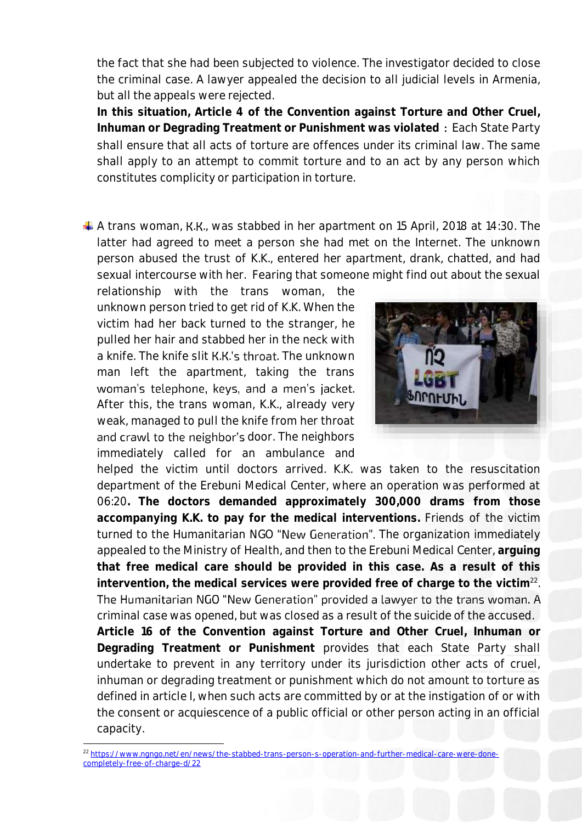the fact that she had been subjected to violence. The investigator decided to close the criminal case. A lawyer appealed the decision to all judicial levels in Armenia, but all the appeals were rejected.

**In this situation, Article 4 of the Convention against Torture and Other Cruel, Inhuman or Degrading Treatment or Punishment was violated ։** Each State Party shall ensure that all acts of torture are offences under its criminal law. The same shall apply to an attempt to commit torture and to an act by any person which constitutes complicity or participation in torture.

 $\downarrow$  A trans woman, K.K., was stabbed in her apartment on 15 April, 2018 at 14:30. The latter had agreed to meet a person she had met on the Internet. The unknown person abused the trust of K.K., entered her apartment, drank, chatted, and had sexual intercourse with her. Fearing that someone might find out about the sexual

relationship with the trans woman, the unknown person tried to get rid of K.K. When the victim had her back turned to the stranger, he pulled her hair and stabbed her in the neck with a knife. The knife slit K.K.'s throat. The unknown man left the apartment, taking the trans woman's telephone, keys, and a men's jacket. After this, the trans woman, K.K., already very weak, managed to pull the knife from her throat and crawl to the neighbor's door. The neighbors immediately called for an ambulance and



helped the victim until doctors arrived. K.K. was taken to the resuscitation department of the Erebuni Medical Center, where an operation was performed at 06:20**. The doctors demanded approximately 300,000 drams from those accompanying K.K. to pay for the medical interventions.** Friends of the victim turned to the Humanitarian NGO "New Generation". The organization immediately appealed to the Ministry of Health, and then to the Erebuni Medical Center, **arguing that free medical care should be provided in this case. As a result of this intervention, the medical services were provided free of charge to the victim**<sup>22</sup> . The Humanitarian NGO "New Generation" provided a lawyer to the trans woman. A criminal case was opened, but was closed as a result of the suicide of the accused. **Article 16 of the Convention against Torture and Other Cruel, Inhuman or Degrading Treatment or Punishment** provides that each State Party shall undertake to prevent in any territory under its jurisdiction other acts of cruel, inhuman or degrading treatment or punishment which do not amount to torture as defined in article I, when such acts are committed by or at the instigation of or with the consent or acquiescence of a public official or other person acting in an official capacity.

1

<sup>&</sup>lt;sup>22</sup> https://www.ngngo.net/en/news/the-stabbed-trans-person-s-operation-and-further-medical-care [completely-free-of-charge-d/22](https://www.ngngo.net/en/news/the-stabbed-trans-person-s-operation-and-further-medical-care-were-done-completely-free-of-charge-d/22)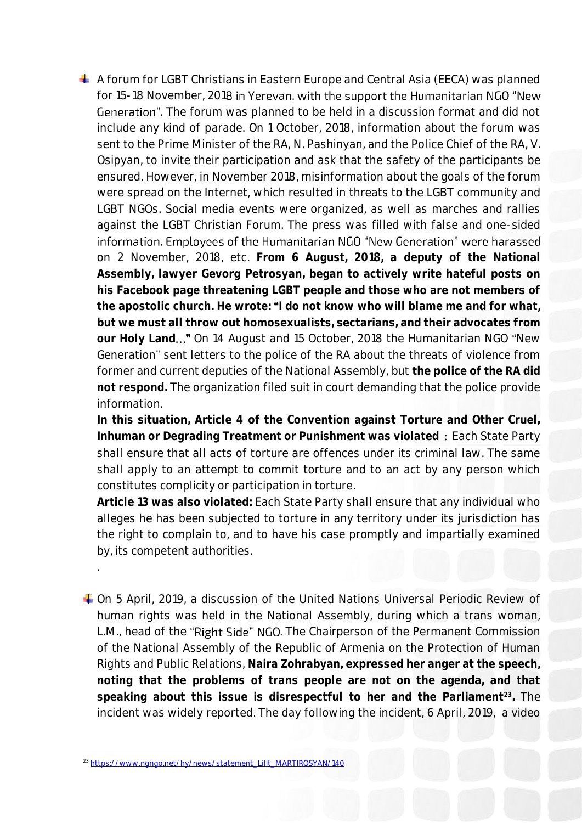$\overline{+}$  A forum for LGBT Christians in Eastern Europe and Central Asia (EECA) was planned for 15-18 November, 2018 in Yerevan, with the support the Humanitarian NGO "New Generation". The forum was planned to be held in a discussion format and did not include any kind of parade. On 1 October, 2018, information about the forum was sent to the Prime Minister of the RA, N. Pashinyan, and the Police Chief of the RA, V. Osipyan, to invite their participation and ask that the safety of the participants be ensured. However, in November 2018, misinformation about the goals of the forum were spread on the Internet, which resulted in threats to the LGBT community and LGBT NGOs. Social media events were organized, as well as marches and rallies against the LGBT Christian Forum. The press was filled with false and one-sided information. Employees of the Humanitarian NGO "New Generation" were harassed on 2 November, 2018, etc. **From 6 August, 2018, a deputy of the National Assembly, lawyer Gevorg Petrosyan, began to actively write hateful posts on his Facebook page threatening LGBT people and those who are not members of the apostolic church. He wrote: I do not know who will blame me and for what, but we must all throw out homosexualists, sectarians, and their advocates from**  our Holy Land..." On 14 August and 15 October, 2018 the Humanitarian NGO "New Generation" sent letters to the police of the RA about the threats of violence from former and current deputies of the National Assembly, but **the police of the RA did not respond.** The organization filed suit in court demanding that the police provide information.

**In this situation, Article 4 of the Convention against Torture and Other Cruel, Inhuman or Degrading Treatment or Punishment was violated ։** Each State Party shall ensure that all acts of torture are offences under its criminal law. The same shall apply to an attempt to commit torture and to an act by any person which constitutes complicity or participation in torture.

**Article 13 was also violated:** Each State Party shall ensure that any individual who alleges he has been subjected to torture in any territory under its jurisdiction has the right to complain to, and to have his case promptly and impartially examined by, its competent authorities.

On 5 April, 2019, a discussion of the United Nations Universal Periodic Review of human rights was held in the National Assembly, during which a trans woman, L.M., head of the "Right Side" NGO. The Chairperson of the Permanent Commission of the National Assembly of the Republic of Armenia on the Protection of Human Rights and Public Relations, **Naira Zohrabyan, expressed her anger at the speech, noting that the problems of trans people are not on the agenda, and that speaking about this issue is disrespectful to her and the Parliament<sup>23</sup> .** The incident was widely reported. The day following the incident, 6 April, 2019, a video

.

**<sup>.</sup>** <sup>23</sup> [https://www.ngngo.net/hy/news/statement\\_Lilit\\_MARTIROSYAN/140](https://www.ngngo.net/hy/news/statement_Lilit_MARTIROSYAN/140)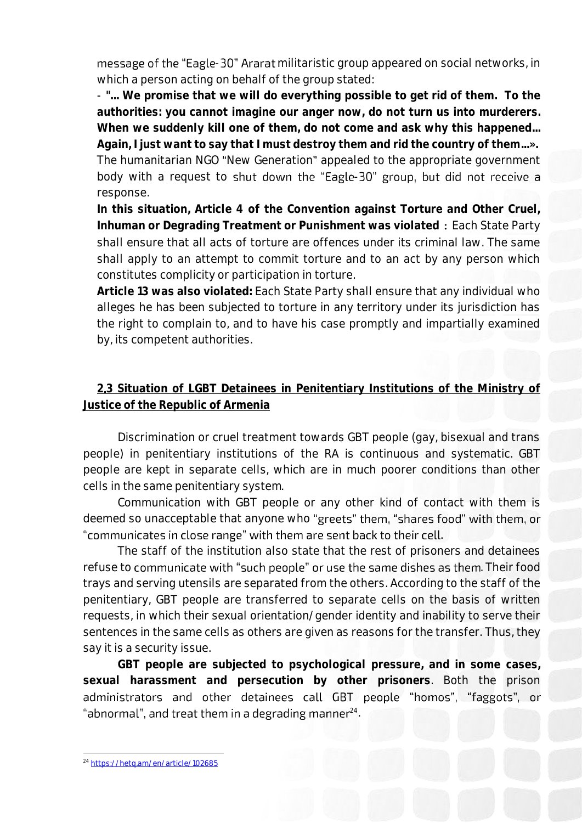message of the "Eagle-30" Ararat militaristic group appeared on social networks, in which a person acting on behalf of the group stated:

- **"... We promise that we will do everything possible to get rid of them. To the authorities: you cannot imagine our anger now, do not turn us into murderers. When we suddenly kill one of them, do not come and ask why this happened...**

**Again, I just want to say that I must destroy them and rid the country of them...».** The humanitarian NGO "New Generation" appealed to the appropriate government body with a request to shut down the "Eagle-30" group, but did not receive a response.

**In this situation, Article 4 of the Convention against Torture and Other Cruel, Inhuman or Degrading Treatment or Punishment was violated ։** Each State Party shall ensure that all acts of torture are offences under its criminal law. The same shall apply to an attempt to commit torture and to an act by any person which constitutes complicity or participation in torture.

**Article 13 was also violated:** Each State Party shall ensure that any individual who alleges he has been subjected to torture in any territory under its jurisdiction has the right to complain to, and to have his case promptly and impartially examined by, its competent authorities.

# **2**․**3 Situation of LGBT Detainees in Penitentiary Institutions of the Ministry of Justice of the Republic of Armenia**

Discrimination or cruel treatment towards GBT people (gay, bisexual and trans people) in penitentiary institutions of the RA is continuous and systematic. GBT people are kept in separate cells, which are in much poorer conditions than other cells in the same penitentiary system․

Communication with GBT people or any other kind of contact with them is deemed so unacceptable that anyone who "greets" them, "shares food" with them, or "communicates in close range" with them are sent back to their cell.

The staff of the institution also state that the rest of prisoners and detainees refuse to communicate with "such people" or use the same dishes as them. Their food trays and serving utensils are separated from the others. According to the staff of the penitentiary, GBT people are transferred to separate cells on the basis of written requests, in which their sexual orientation/gender identity and inability to serve their sentences in the same cells as others are given as reasons for the transfer. Thus, they say it is a security issue.

**GBT people are subjected to psychological pressure, and in some cases, sexual harassment and persecution by other prisoners**. Both the prison administrators and other detainees call GBT people "homos", "faggots", or 24 .

**<sup>.</sup>** <sup>24</sup> <https://hetq.am/en/article/102685>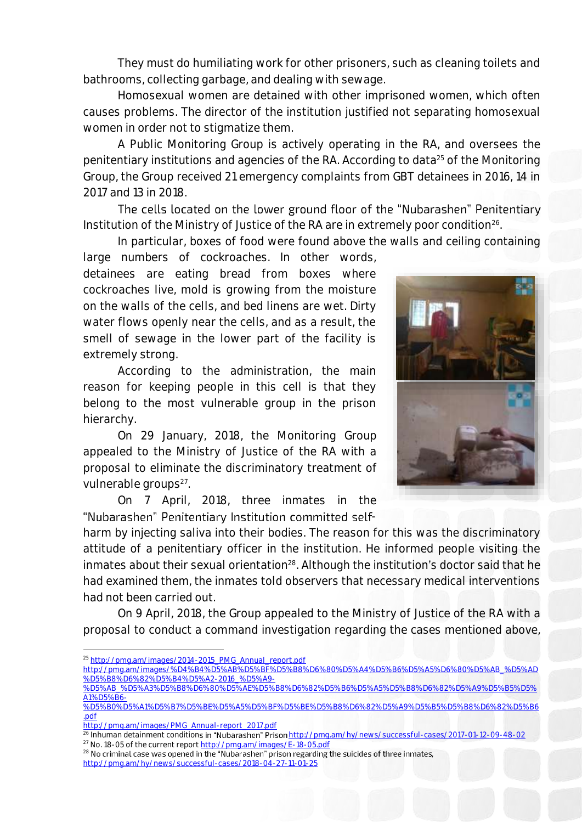They must do humiliating work for other prisoners, such as cleaning toilets and bathrooms, collecting garbage, and dealing with sewage.

Homosexual women are detained with other imprisoned women, which often causes problems. The director of the institution justified not separating homosexual women in order not to stigmatize them.

A Public Monitoring Group is actively operating in the RA, and oversees the penitentiary institutions and agencies of the RA. According to data<sup>25</sup> of the Monitoring Group, the Group received 21 emergency complaints from GBT detainees in 2016, 14 in 2017 and 13 in 2018.

The cells located on the lower ground floor of the "Nubarashen" Penitentiary Institution of the Ministry of Justice of the RA are in extremely poor condition<sup>26</sup>.

In particular, boxes of food were found above the walls and ceiling containing

large numbers of cockroaches. In other words, detainees are eating bread from boxes where cockroaches live, mold is growing from the moisture on the walls of the cells, and bed linens are wet. Dirty water flows openly near the cells, and as a result, the smell of sewage in the lower part of the facility is extremely strong.

According to the administration, the main reason for keeping people in this cell is that they belong to the most vulnerable group in the prison hierarchy.

On 29 January, 2018, the Monitoring Group appealed to the Ministry of Justice of the RA with a proposal to eliminate the discriminatory treatment of vulnerable groups<sup>27</sup>.

On 7 April, 2018, three inmates in the "Nubarashen" Penitentiary Institution committed self-



On 9 April, 2018, the Group appealed to the Ministry of Justice of the RA with a proposal to conduct a command investigation regarding the cases mentioned above,

[http://pmg.am/images/%D4%B4%D5%AB%D5%BF%D5%B8%D6%80%D5%A4%D5%B6%D5%A5%D6%80%D5%AB\\_%D5%AD](http://pmg.am/images/%D4%B4%D5%AB%D5%BF%D5%B8%D6%80%D5%A4%D5%B6%D5%A5%D6%80%D5%AB_%D5%AD%D5%B8%D6%82%D5%B4%D5%A2-2016_%D5%A9-%D5%AB_%D5%A3%D5%B8%D6%80%D5%AE%D5%B8%D6%82%D5%B6%D5%A5%D5%B8%D6%82%D5%A9%D5%B5%D5%A1%D5%B6-%D5%B0%D5%A1%D5%B7%D5%BE%D5%A5%D5%BF%D5%BE%D5%B8%D6%82%D5%A9%D5%B5%D5%B8%D6%82%D5%B6.pdf) [%D5%B8%D6%82%D5%B4%D5%A2-2016\\_%D5%A9-](http://pmg.am/images/%D4%B4%D5%AB%D5%BF%D5%B8%D6%80%D5%A4%D5%B6%D5%A5%D6%80%D5%AB_%D5%AD%D5%B8%D6%82%D5%B4%D5%A2-2016_%D5%A9-%D5%AB_%D5%A3%D5%B8%D6%80%D5%AE%D5%B8%D6%82%D5%B6%D5%A5%D5%B8%D6%82%D5%A9%D5%B5%D5%A1%D5%B6-%D5%B0%D5%A1%D5%B7%D5%BE%D5%A5%D5%BF%D5%BE%D5%B8%D6%82%D5%A9%D5%B5%D5%B8%D6%82%D5%B6.pdf) [%D5%AB\\_%D5%A3%D5%B8%D6%80%D5%AE%D5%B8%D6%82%D5%B6%D5%A5%D5%B8%D6%82%D5%A9%D5%B5%D5%](http://pmg.am/images/%D4%B4%D5%AB%D5%BF%D5%B8%D6%80%D5%A4%D5%B6%D5%A5%D6%80%D5%AB_%D5%AD%D5%B8%D6%82%D5%B4%D5%A2-2016_%D5%A9-%D5%AB_%D5%A3%D5%B8%D6%80%D5%AE%D5%B8%D6%82%D5%B6%D5%A5%D5%B8%D6%82%D5%A9%D5%B5%D5%A1%D5%B6-%D5%B0%D5%A1%D5%B7%D5%BE%D5%A5%D5%BF%D5%BE%D5%B8%D6%82%D5%A9%D5%B5%D5%B8%D6%82%D5%B6.pdf)

**.** 

 $^{28}$  No criminal case was opened in the "Nubarashen" prison regarding the suicides of three inmates, <http://pmg.am/hy/news/successful-cases/2018-04-27-11-01-25>



<sup>&</sup>lt;sup>25</sup> [http://pmg.am/images/2014-2015\\_PMG\\_Annual\\_report.pdf](http://pmg.am/images/2014-2015_PMG_Annual_report.pdf)

[A1%D5%B6-](http://pmg.am/images/%D4%B4%D5%AB%D5%BF%D5%B8%D6%80%D5%A4%D5%B6%D5%A5%D6%80%D5%AB_%D5%AD%D5%B8%D6%82%D5%B4%D5%A2-2016_%D5%A9-%D5%AB_%D5%A3%D5%B8%D6%80%D5%AE%D5%B8%D6%82%D5%B6%D5%A5%D5%B8%D6%82%D5%A9%D5%B5%D5%A1%D5%B6-%D5%B0%D5%A1%D5%B7%D5%BE%D5%A5%D5%BF%D5%BE%D5%B8%D6%82%D5%A9%D5%B5%D5%B8%D6%82%D5%B6.pdf) [%D5%B0%D5%A1%D5%B7%D5%BE%D5%A5%D5%BF%D5%BE%D5%B8%D6%82%D5%A9%D5%B5%D5%B8%D6%82%D5%B6](http://pmg.am/images/%D4%B4%D5%AB%D5%BF%D5%B8%D6%80%D5%A4%D5%B6%D5%A5%D6%80%D5%AB_%D5%AD%D5%B8%D6%82%D5%B4%D5%A2-2016_%D5%A9-%D5%AB_%D5%A3%D5%B8%D6%80%D5%AE%D5%B8%D6%82%D5%B6%D5%A5%D5%B8%D6%82%D5%A9%D5%B5%D5%A1%D5%B6-%D5%B0%D5%A1%D5%B7%D5%BE%D5%A5%D5%BF%D5%BE%D5%B8%D6%82%D5%A9%D5%B5%D5%B8%D6%82%D5%B6.pdf)

[<sup>.</sup>pdf](http://pmg.am/images/%D4%B4%D5%AB%D5%BF%D5%B8%D6%80%D5%A4%D5%B6%D5%A5%D6%80%D5%AB_%D5%AD%D5%B8%D6%82%D5%B4%D5%A2-2016_%D5%A9-%D5%AB_%D5%A3%D5%B8%D6%80%D5%AE%D5%B8%D6%82%D5%B6%D5%A5%D5%B8%D6%82%D5%A9%D5%B5%D5%A1%D5%B6-%D5%B0%D5%A1%D5%B7%D5%BE%D5%A5%D5%BF%D5%BE%D5%B8%D6%82%D5%A9%D5%B5%D5%B8%D6%82%D5%B6.pdf)

[http://pmg.am/images/PMG\\_Annual-report\\_2017.pdf](http://pmg.am/images/PMG_Annual-report_2017.pdf)

<sup>&</sup>lt;sup>26</sup> Inhuman detainment conditions in "Nubarashen" Prison <http://pmg.am/hy/news/successful-cases/2017-01-12-09-48-02> <sup>27</sup> No. 18-05 of the current report <http://pmg.am/images/E-18-05.pdf>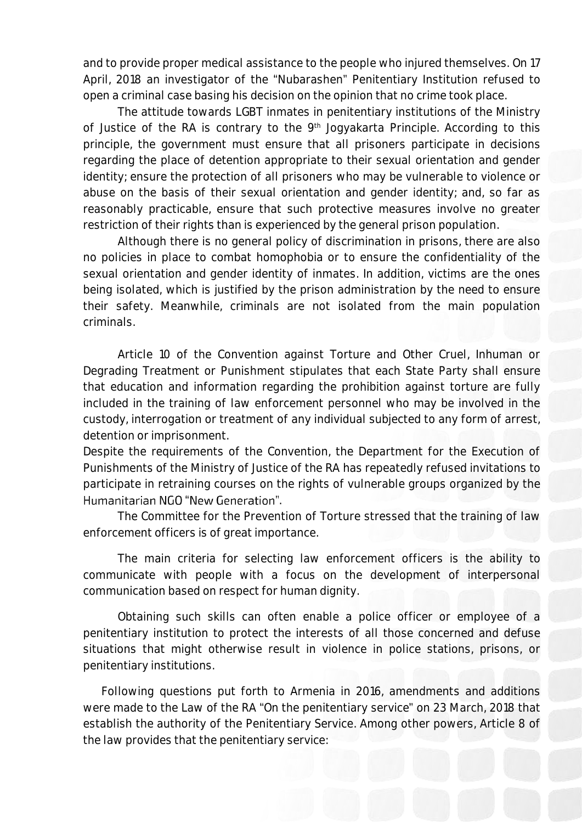and to provide proper medical assistance to the people who injured themselves. On 17 April, 2018 an investigator of the "Nubarashen" Penitentiary Institution refused to open a criminal case basing his decision on the opinion that no crime took place.

The attitude towards LGBT inmates in penitentiary institutions of the Ministry of Justice of the RA is contrary to the 9<sup>th</sup> Jogyakarta Principle. According to this principle, the government must ensure that all prisoners participate in decisions regarding the place of detention appropriate to their sexual orientation and gender identity; ensure the protection of all prisoners who may be vulnerable to violence or abuse on the basis of their sexual orientation and gender identity; and, so far as reasonably practicable, ensure that such protective measures involve no greater restriction of their rights than is experienced by the general prison population.

Although there is no general policy of discrimination in prisons, there are also no policies in place to combat homophobia or to ensure the confidentiality of the sexual orientation and gender identity of inmates. In addition, victims are the ones being isolated, which is justified by the prison administration by the need to ensure their safety. Meanwhile, criminals are not isolated from the main population criminals.

Article 10 of the Convention against Torture and Other Cruel, Inhuman or Degrading Treatment or Punishment stipulates that each State Party shall ensure that education and information regarding the prohibition against torture are fully included in the training of law enforcement personnel who may be involved in the custody, interrogation or treatment of any individual subjected to any form of arrest, detention or imprisonment.

Despite the requirements of the Convention, the Department for the Execution of Punishments of the Ministry of Justice of the RA has repeatedly refused invitations to participate in retraining courses on the rights of vulnerable groups organized by the Humanitarian NGO "New Generation".

The Committee for the Prevention of Torture stressed that the training of law enforcement officers is of great importance.

The main criteria for selecting law enforcement officers is the ability to communicate with people with a focus on the development of interpersonal communication based on respect for human dignity.

Obtaining such skills can often enable a police officer or employee of a penitentiary institution to protect the interests of all those concerned and defuse situations that might otherwise result in violence in police stations, prisons, or penitentiary institutions.

Following questions put forth to Armenia in 2016, amendments and additions were made to the Law of the RA "On the penitentiary service" on 23 March, 2018 that establish the authority of the Penitentiary Service. Among other powers, Article 8 of the law provides that the penitentiary service: